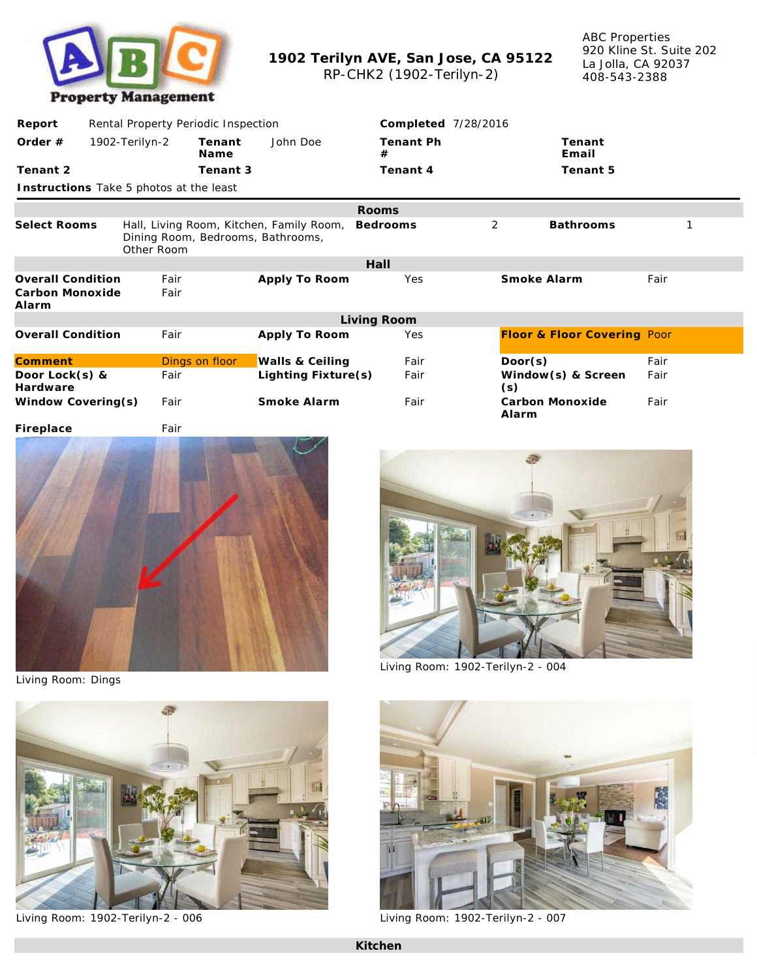

**1902 Terilyn AVE, San Jose, CA 95122** RP-CHK2 (1902-Terilyn-2)

ABC Properties 920 Kline St. Suite 202 La Jolla, CA 92037 408-543-2388

| Report                                               | Rental Property Periodic Inspection |                                                 |                |                                          |                | Completed 7/28/2016 |   |             |                             |      |  |
|------------------------------------------------------|-------------------------------------|-------------------------------------------------|----------------|------------------------------------------|----------------|---------------------|---|-------------|-----------------------------|------|--|
| Order $#$                                            |                                     | 1902-Terilyn-2                                  | Tenant<br>Name | John Doe                                 | Tenant Ph<br># |                     |   |             | Tenant<br>Email             |      |  |
| Tenant 2                                             |                                     |                                                 | Tenant 3       |                                          | Tenant 4       |                     |   |             | Tenant 5                    |      |  |
|                                                      |                                     | Instructions Take 5 photos at the least         |                |                                          |                |                     |   |             |                             |      |  |
|                                                      | Rooms                               |                                                 |                |                                          |                |                     |   |             |                             |      |  |
| Select Rooms                                         |                                     | Dining Room, Bedrooms, Bathrooms,<br>Other Room |                | Hall, Living Room, Kitchen, Family Room, | Bedrooms       |                     | 2 |             | Bathrooms                   |      |  |
|                                                      | Hall                                |                                                 |                |                                          |                |                     |   |             |                             |      |  |
| <b>Overall Condition</b><br>Carbon Monoxide<br>Alarm |                                     | Fair<br>Fair                                    |                | Apply To Room                            |                | Yes                 |   | Smoke Alarm |                             | Fair |  |
| Living Room                                          |                                     |                                                 |                |                                          |                |                     |   |             |                             |      |  |
| <b>Overall Condition</b>                             |                                     | Fair                                            |                | Apply To Room                            |                | Yes                 |   |             | Floor & Floor Covering Poor |      |  |
| Comment                                              |                                     |                                                 | Dings on floor | Walls & Ceiling                          |                | Fair                |   | Door(s)     |                             | Fair |  |
| Door Lock(s) &<br>Hardware                           |                                     | Fair                                            |                | Lighting Fixture(s)                      |                | Fair                |   | (s)         | Window(s) & Screen          | Fair |  |
| Window Covering(s)                                   |                                     | Fair                                            |                | Smoke Alarm                              |                | Fair                |   | Alarm       | Carbon Monoxide             | Fair |  |



Living Room: Dings



Living Room: 1902-Terilyn-2 - 006 Living Room: 1902-Terilyn-2 - 007



Living Room: 1902-Terilyn-2 - 004

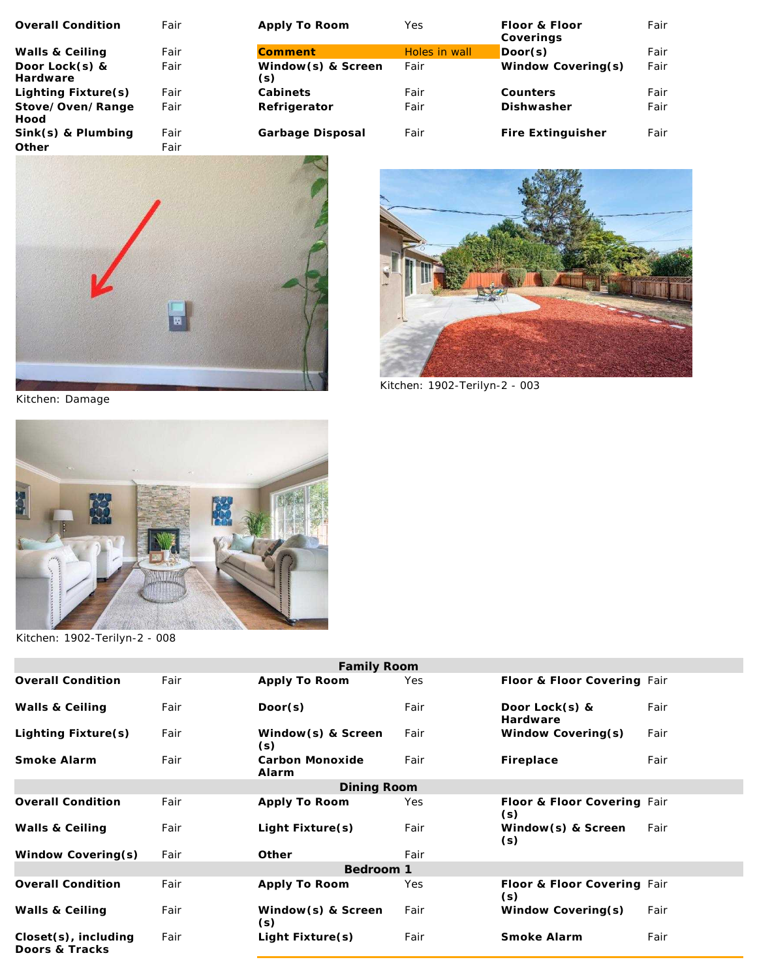| Overall Condition                               | Fair         |
|-------------------------------------------------|--------------|
| Walls & Ceiling<br>Door Lock(s) &<br>Hardware   | Fair<br>Fair |
| Lighting Fixture(s)<br>Stove/Oven/Range<br>Hood | Fair<br>Fair |
| $Sink(s)$ & Plumbing<br>∩ther                   | Fair<br>Fair |

| Overall Condition                                  | Fair      | Apply To Room             | Yes           | Floor & Floor<br>Coverings | Fair |
|----------------------------------------------------|-----------|---------------------------|---------------|----------------------------|------|
| Walls & Ceiling                                    | Fair      | Comment                   | Holes in wall | Door(s)                    | Fair |
| Door Lock(s) &<br>Hardware                         | Fair      | Window(s) & Screen<br>(S) | Fair          | Window Covering(s)         | Fair |
| Lighting Fixture(s)                                | Fair      | Cabinets                  | Fair          | Counters                   | Fair |
| Stove/Oven/Range<br>Hood                           | Fair      | Refrigerator              | Fair          | Dishwasher                 | Fair |
| Sink(s) & Plumbing<br>$\sim$ 11. $\sim$ 11. $\sim$ | Fair<br>. | Garbage Disposal          | Fair          | Fire Extinguisher          | Fair |



Kitchen: Damage



Kitchen: 1902-Terilyn-2 - 008





Kitchen: 1902-Terilyn-2 - 003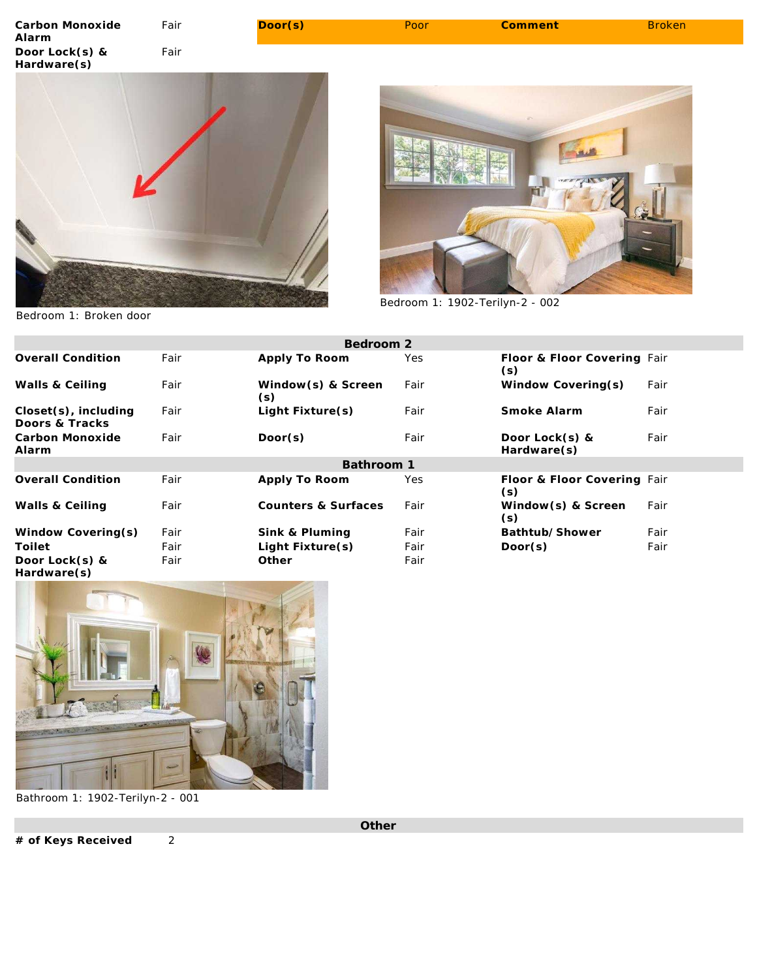| Carbon Monoxide<br>Alarm      | Fair | Door(s) | Poor | Comment                         | <b>Broken</b> |
|-------------------------------|------|---------|------|---------------------------------|---------------|
| Door Lock(s) &<br>Hardware(s) | Fair |         |      |                                 |               |
|                               |      |         |      | Bedroom 1: 1902-Terilyn-2 - 002 |               |

AN REGISTER Bedroom 1: Broken door

| Bedroom 2                                 |      |                           |      |                                    |      |  |  |
|-------------------------------------------|------|---------------------------|------|------------------------------------|------|--|--|
| <b>Overall Condition</b>                  | Fair | Apply To Room             | Yes  | Floor & Floor Covering Fair<br>(s) |      |  |  |
| Walls & Ceiling                           | Fair | Window(s) & Screen<br>(s) | Fair | Window Covering(s)                 | Fair |  |  |
| $Closed(s)$ , including<br>Doors & Tracks | Fair | Light Fixture(s)          | Fair | Smoke Alarm                        | Fair |  |  |
| Carbon Monoxide<br>Alarm                  | Fair | Door(s)                   | Fair | Door Lock(s) &<br>Hardware(s)      | Fair |  |  |
| Bathroom 1                                |      |                           |      |                                    |      |  |  |
| <b>Overall Condition</b>                  | Fair | Apply To Room             | Yes  | Floor & Floor Covering Fair<br>(s) |      |  |  |
| Walls & Ceiling                           | Fair | Counters & Surfaces       | Fair | Window(s) & Screen<br>(s)          | Fair |  |  |
| Window Covering(s)                        | Fair | Sink & Pluming            | Fair | Bathtub/Shower                     | Fair |  |  |
| Toilet                                    | Fair | Light Fixture(s)          | Fair | Door(s)                            | Fair |  |  |
| Door Lock(s) &<br>Hardware(s)             | Fair | Other                     | Fair |                                    |      |  |  |



Bathroom 1: 1902-Terilyn-2 - 001

**Other**